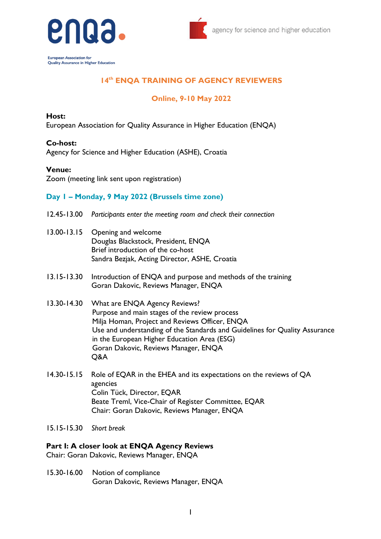



**European Association for** Quality Assurance in Higher Education

# **14 th ENQA TRAINING OF AGENCY REVIEWERS**

## **Online, 9-10 May 2022**

#### **Host:**

European Association for Quality Assurance in Higher Education (ENQA)

### **Co-host:**

Agency for Science and Higher Education (ASHE), Croatia

#### **Venue:**

Zoom (meeting link sent upon registration)

### **Day 1 – Monday, 9 May 2022 (Brussels time zone)**

- 12.45-13.00 *Participants enter the meeting room and check their connection*
- 13.00-13.15 Opening and welcome Douglas Blackstock, President, ENQA Brief introduction of the co-host Sandra Bezjak, Acting Director, ASHE, Croatia
- 13.15-13.30 Introduction of ENQA and purpose and methods of the training Goran Dakovic, Reviews Manager, ENQA
- 13.30-14.30 What are ENQA Agency Reviews? Purpose and main stages of the review process Milja Homan, Project and Reviews Officer, ENQA Use and understanding of the Standards and Guidelines for Quality Assurance in the European Higher Education Area (ESG) Goran Dakovic, Reviews Manager, ENQA Q&A
- 14.30-15.15 Role of EQAR in the EHEA and its expectations on the reviews of QA agencies Colin Tück, Director, EQAR Beate Treml, Vice-Chair of Register Committee, EQAR Chair: Goran Dakovic, Reviews Manager, ENQA
- 15.15-15.30 *Short break*

#### **Part I: A closer look at ENQA Agency Reviews**

Chair: Goran Dakovic, Reviews Manager, ENQA

15.30-16.00 Notion of compliance Goran Dakovic, Reviews Manager, ENQA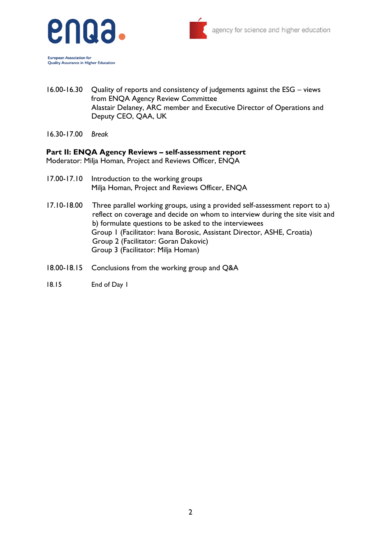

Quality Assurance in Higher Education



16.00-16.30 Quality of reports and consistency of judgements against the ESG – views from ENQA Agency Review Committee Alastair Delaney, ARC member and Executive Director of Operations and Deputy CEO, QAA, UK

16.30-17.00 *Break*

#### **Part II: ENQA Agency Reviews – self-assessment report**

Moderator: Milja Homan, Project and Reviews Officer, ENQA

- 17.00-17.10 Introduction to the working groups Milja Homan, Project and Reviews Officer, ENQA
- 17.10-18.00 Three parallel working groups, using a provided self-assessment report to a) reflect on coverage and decide on whom to interview during the site visit and b) formulate questions to be asked to the interviewees Group 1 (Facilitator: Ivana Borosic, Assistant Director, ASHE, Croatia) Group 2 (Facilitator: Goran Dakovic) Group 3 (Facilitator: Milja Homan)
- 18.00-18.15 Conclusions from the working group and Q&A
- 18.15 End of Day 1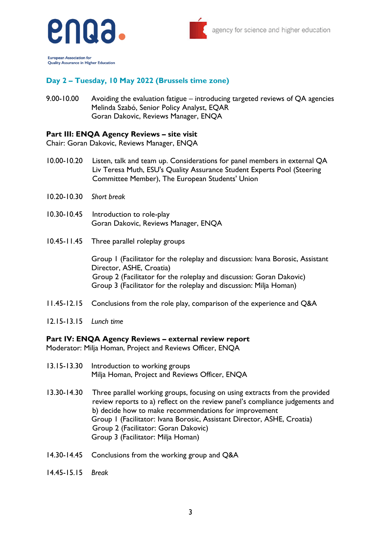

**European Association for** Quality Assurance in Higher Education

## **Day 2 – Tuesday, 10 May 2022 (Brussels time zone)**

9.00-10.00 Avoiding the evaluation fatigue – introducing targeted reviews of QA agencies Melinda Szabó, Senior Policy Analyst, EQAR Goran Dakovic, Reviews Manager, ENQA

#### **Part III: ENQA Agency Reviews – site visit**

Chair: Goran Dakovic, Reviews Manager, ENQA

- 10.00-10.20 Listen, talk and team up. Considerations for panel members in external QA Liv Teresa Muth, ESU's Quality Assurance Student Experts Pool (Steering Committee Member), The European Students' Union
- 10.20-10.30 *Short break*
- 10.30-10.45 Introduction to role-play Goran Dakovic, Reviews Manager, ENQA
- 10.45-11.45 Three parallel roleplay groups

Group 1 (Facilitator for the roleplay and discussion: Ivana Borosic, Assistant Director, ASHE, Croatia) Group 2 (Facilitator for the roleplay and discussion: Goran Dakovic) Group 3 (Facilitator for the roleplay and discussion: Milja Homan)

- 11.45-12.15 Conclusions from the role play, comparison of the experience and Q&A
- 12.15-13.15 *Lunch time*

#### **Part IV: ENQA Agency Reviews – external review report**

Moderator: Milja Homan, Project and Reviews Officer, ENQA

- 13.15-13.30 Introduction to working groups Milja Homan, Project and Reviews Officer, ENQA
- 13.30-14.30 Three parallel working groups, focusing on using extracts from the provided review reports to a) reflect on the review panel's compliance judgements and b) decide how to make recommendations for improvement Group 1 (Facilitator: Ivana Borosic, Assistant Director, ASHE, Croatia) Group 2 (Facilitator: Goran Dakovic) Group 3 (Facilitator: Milja Homan)
- 14.30-14.45 Conclusions from the working group and Q&A
- 14.45-15.15 *Break*